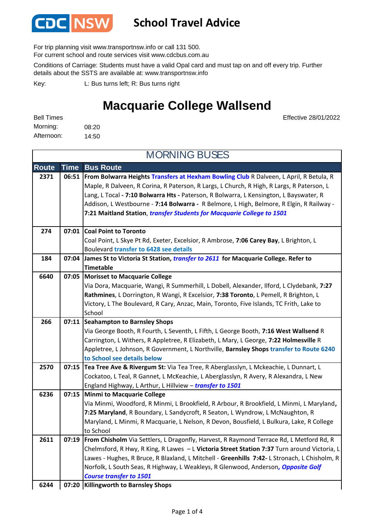

### **School Travel Advice**

For trip planning visit www.transportnsw.info or call 131 500.

For current school and route services visit www.cdcbus.com.au

Conditions of Carriage: Students must have a valid Opal card and must tap on and off every trip. Further details about the SSTS are available at: www.transportnsw.info

L: Bus turns left; R: Bus turns right Key:

### **Macquarie College Wallsend**

Effective 28/01/2022

| <b>Bell Times</b> |       |
|-------------------|-------|
| Morning:          | 08:20 |
| Afternoon:        | 14:50 |

**Route Time Bus Route 2371 06:51 From Bolwarra Heights Transfers at Hexham Bowling Club** R Dalveen, L April, R Betula, R Maple, R Dalveen, R Corina, R Paterson, R Largs, L Church, R High, R Largs, R Paterson, L Lang, L Tocal **- 7:10 Bolwarra Hts -** Paterson, R Bolwarra, L Kensington, L Bayswater, R Addison, L Westbourne - **7:14 Bolwarra -** R Belmore, L High, Belmore, R Elgin, R Railway - **7:21 Maitland Station**, *transfer Students for Macquarie College to 1501* **Coal Point to Toronto 274 07:01** Coal Point, L Skye Pt Rd, Exeter, Excelsior, R Ambrose, **7:06 Carey Bay**, L Brighton, L Boulevard **transfer to 6428 see details 184 07:04 James St to Victoria St Station,** *transfer to 2611* **for Macquarie College. Refer to Timetable Morisset to Macquarie College** Via Dora, Macquarie, Wangi, R Summerhill, L Dobell, Alexander, Ilford, L Clydebank, **7:27 Rathmines**, L Dorrington, R Wangi, R Excelsior, **7:38 Toronto**, L Pemell, R Brighton, L Victory, L The Boulevard, R Cary, Anzac, Main, Toronto, Five Islands, TC Frith, Lake to School **Seahampton to Barnsley Shops 266 07:11** Via George Booth, R Fourth, L Seventh, L Fifth, L George Booth, **7:16 West Wallsend** R Carrington, L Withers, R Appletree, R Elizabeth, L Mary, L George, **7:22 Holmesville** R Appletree, L Johnson, R Government, L Northville, **Barnsley Shops transfer to Route 6240 to School see details below 2570 07:15 Tea Tree Ave & Rivergum St:** Via Tea Tree, R Aberglasslyn, L Mckeachie, L Dunnart, L Cockatoo, L Teal, R Gannet, L McKeachie, L Aberglasslyn, R Avery, R Alexandra, L New England Highway, L Arthur, L Hillview – *transfer to 1501* **Minmi to Macquarie College 6236 07:15** Via Minmi, Woodford, R Minmi, L Brookfield, R Arbour, R Brookfield, L Minmi, L Maryland**, 7:25 Maryland**, R Boundary, L Sandycroft, R Seaton, L Wyndrow, L McNaughton, R Maryland, L Minmi, R Macquarie, L Nelson, R Devon, Bousfield, L Bulkura, Lake, R College to School **2611 07:19 From Chisholm** Via Settlers, L Dragonfly, Harvest, R Raymond Terrace Rd, L Metford Rd, R Chelmsford, R Hwy, R King, R Lawes – L **Victoria Street Station 7:37** Turn around Victoria, L Lawes - Hughes, R Bruce, R Blaxland, L Mitchell - **Greenhills 7:42-** L Stronach, L Chisholm, R Norfolk, L South Seas, R Highway, L Weakleys, R Glenwood, Anderson*, Opposite Golf Course transfer to 1501* **Killingworth to Barnsley Shops 6244 07:20** MORNING BUSES **6640 07:05**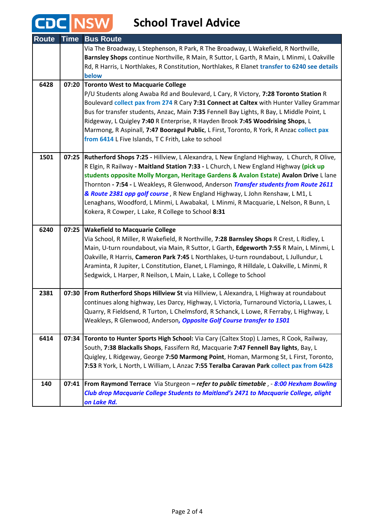# **CDC** NSW School Travel Advice

| <b>Route</b> | <b>Time</b> | <b>Bus Route</b>                                                                                                                                                                                                                                                                                                                                                                                                                                                                            |
|--------------|-------------|---------------------------------------------------------------------------------------------------------------------------------------------------------------------------------------------------------------------------------------------------------------------------------------------------------------------------------------------------------------------------------------------------------------------------------------------------------------------------------------------|
|              |             | Via The Broadway, L Stephenson, R Park, R The Broadway, L Wakefield, R Northville,<br>Barnsley Shops continue Northville, R Main, R Suttor, L Garth, R Main, L Minmi, L Oakville<br>Rd, R Harris, L Northlakes, R Constitution, Northlakes, R Elanet transfer to 6240 see details<br>below                                                                                                                                                                                                  |
| 6428         | 07:20       | <b>Toronto West to Macquarie College</b><br>P/U Students along Awaba Rd and Boulevard, L Cary, R Victory, 7:28 Toronto Station R                                                                                                                                                                                                                                                                                                                                                            |
|              |             | Boulevard collect pax from 274 R Cary 7:31 Connect at Caltex with Hunter Valley Grammar                                                                                                                                                                                                                                                                                                                                                                                                     |
|              |             | Bus for transfer students, Anzac, Main 7:35 Fennell Bay Lights, R Bay, L Middle Point, L                                                                                                                                                                                                                                                                                                                                                                                                    |
|              |             | Ridgeway, L Quigley 7:40 R Enterprise, R Hayden Brook 7:45 Woodrising Shops, L<br>Marmong, R Aspinall, 7:47 Booragul Public, L First, Toronto, R York, R Anzac collect pax                                                                                                                                                                                                                                                                                                                  |
|              |             | from 6414 L Five Islands, T C Frith, Lake to school                                                                                                                                                                                                                                                                                                                                                                                                                                         |
| 1501         | 07:25       | Rutherford Shops 7:25 - Hillview, L Alexandra, L New England Highway, L Church, R Olive,<br>R Elgin, R Railway - Maitland Station 7:33 - L Church, L New England Highway (pick up<br>students opposite Molly Morgan, Heritage Gardens & Avalon Estate) Avalon Drive Llane<br>Thornton - 7:54 - L Weakleys, R Glenwood, Anderson <i>Transfer students from Route 2611</i><br>& Route 2381 opp golf course, R New England Highway, L John Renshaw, L M1, L                                    |
|              |             | Lenaghans, Woodford, L Minmi, L Awabakal, L Minmi, R Macquarie, L Nelson, R Bunn, L<br>Kokera, R Cowper, L Lake, R College to School 8:31                                                                                                                                                                                                                                                                                                                                                   |
| 6240         | 07:25       | <b>Wakefield to Macquarie College</b><br>Via School, R Miller, R Wakefield, R Northville, 7:28 Barnsley Shops R Crest, L Ridley, L<br>Main, U-turn roundabout, via Main, R Suttor, L Garth, Edgeworth 7:55 R Main, L Minmi, L<br>Oakville, R Harris, Cameron Park 7:45 L Northlakes, U-turn roundabout, L Jullundur, L<br>Araminta, R Jupiter, L Constitution, Elanet, L Flamingo, R Hilldale, L Oakville, L Minmi, R<br>Sedgwick, L Harper, R Neilson, L Main, L Lake, L College to School |
| 2381         | 07:30       | From Rutherford Shops Hillview St via Hillview, L Alexandra, L Highway at roundabout                                                                                                                                                                                                                                                                                                                                                                                                        |
|              |             | continues along highway, Les Darcy, Highway, L Victoria, Turnaround Victoria, L Lawes, L<br>Quarry, R Fieldsend, R Turton, L Chelmsford, R Schanck, L Lowe, R Ferraby, L Highway, L                                                                                                                                                                                                                                                                                                         |
|              |             | Weakleys, R Glenwood, Anderson, Opposite Golf Course transfer to 1501                                                                                                                                                                                                                                                                                                                                                                                                                       |
| 6414         | 07:34       | Toronto to Hunter Sports High School: Via Cary (Caltex Stop) L James, R Cook, Railway,                                                                                                                                                                                                                                                                                                                                                                                                      |
|              |             | South, 7:38 Blackalls Shops, Fassifern Rd, Macquarie 7:47 Fennell Bay lights, Bay, L<br>Quigley, L Ridgeway, George 7:50 Marmong Point, Homan, Marmong St, L First, Toronto,                                                                                                                                                                                                                                                                                                                |
|              |             | 7:53 R York, L North, L William, L Anzac 7:55 Teralba Caravan Park collect pax from 6428                                                                                                                                                                                                                                                                                                                                                                                                    |
| 140          | 07:41       | From Raymond Terrace Via Sturgeon - refer to public timetable, - 8:00 Hexham Bowling                                                                                                                                                                                                                                                                                                                                                                                                        |
|              |             | Club drop Macquarie College Students to Maitland's 2471 to Macquarie College, alight                                                                                                                                                                                                                                                                                                                                                                                                        |
|              |             | on Lake Rd.                                                                                                                                                                                                                                                                                                                                                                                                                                                                                 |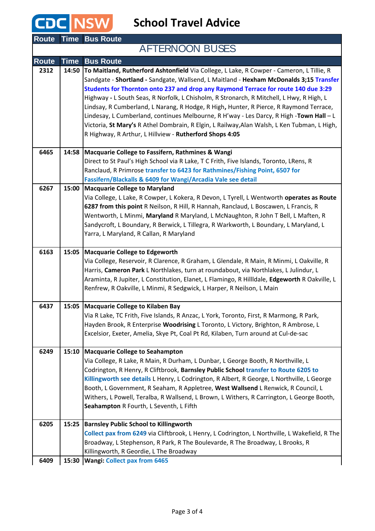CDC NSW

**School Travel Advice**

| <b>Route</b> |             | <b>Time Bus Route</b>                                                                                                                                                                                                                                                                                                                                                                                                                                                                                                                                                                                                                                                                                               |
|--------------|-------------|---------------------------------------------------------------------------------------------------------------------------------------------------------------------------------------------------------------------------------------------------------------------------------------------------------------------------------------------------------------------------------------------------------------------------------------------------------------------------------------------------------------------------------------------------------------------------------------------------------------------------------------------------------------------------------------------------------------------|
|              |             | <b>AFTERNOON BUSES</b>                                                                                                                                                                                                                                                                                                                                                                                                                                                                                                                                                                                                                                                                                              |
| <b>Route</b> | <b>Time</b> | <b>Bus Route</b>                                                                                                                                                                                                                                                                                                                                                                                                                                                                                                                                                                                                                                                                                                    |
| 2312         | 14:50       | To Maitland, Rutherford Ashtonfield Via College, L Lake, R Cowper - Cameron, L Tillie, R<br>Sandgate - Shortland - Sandgate, Wallsend, L Maitland - Hexham McDonalds 3;15 Transfer<br>Students for Thornton onto 237 and drop any Raymond Terrace for route 140 due 3:29<br>Highway - L South Seas, R Norfolk, L Chisholm, R Stronarch, R Mitchell, L Hwy, R High, L<br>Lindsay, R Cumberland, L Narang, R Hodge, R High, Hunter, R Pierce, R Raymond Terrace,<br>Lindesay, L Cumberland, continues Melbourne, R H'way - Les Darcy, R High -Town Hall - L<br>Victoria, St Mary's R Athel Dombrain, R Elgin, L Railway, Alan Walsh, L Ken Tubman, L High,<br>R Highway, R Arthur, L Hillview - Rutherford Shops 4:05 |
| 6465         |             | 14:58 Macquarie College to Fassifern, Rathmines & Wangi<br>Direct to St Paul's High School via R Lake, T C Frith, Five Islands, Toronto, LRens, R<br>Ranclaud, R Primrose transfer to 6423 for Rathmines/Fishing Point, 6507 for<br>Fassifern/Blackalls & 6409 for Wangi/Arcadia Vale see detail                                                                                                                                                                                                                                                                                                                                                                                                                    |
| 6267         |             | 15:00 Macquarie College to Maryland<br>Via College, L Lake, R Cowper, L Kokera, R Devon, L Tyrell, L Wentworth operates as Route<br>6287 from this point R Neilson, R Hill, R Hannah, Ranclaud, L Boscawen, L Francis, R<br>Wentworth, L Minmi, Maryland R Maryland, L McNaughton, R John T Bell, L Maften, R<br>Sandycroft, L Boundary, R Berwick, L Tillegra, R Warkworth, L Boundary, L Maryland, L<br>Yarra, L Maryland, R Callan, R Maryland                                                                                                                                                                                                                                                                   |
| 6163         |             | 15:05 Macquarie College to Edgeworth<br>Via College, Reservoir, R Clarence, R Graham, L Glendale, R Main, R Minmi, L Oakville, R<br>Harris, Cameron Park L Northlakes, turn at roundabout, via Northlakes, L Julindur, L<br>Araminta, R Jupiter, L Constitution, Elanet, L Flamingo, R Hillldale, Edgeworth R Oakville, L<br>Renfrew, R Oakville, L Minmi, R Sedgwick, L Harper, R Neilson, L Main                                                                                                                                                                                                                                                                                                                  |
| 6437         |             | 15:05 Macquarie College to Kilaben Bay<br>Via R Lake, TC Frith, Five Islands, R Anzac, L York, Toronto, First, R Marmong, R Park,<br>Hayden Brook, R Enterprise Woodrising L Toronto, L Victory, Brighton, R Ambrose, L<br>Excelsior, Exeter, Amelia, Skye Pt, Coal Pt Rd, Kilaben, Turn around at Cul-de-sac                                                                                                                                                                                                                                                                                                                                                                                                       |
| 6249         |             | 15:10 Macquarie College to Seahampton<br>Via College, R Lake, R Main, R Durham, L Dunbar, L George Booth, R Northville, L<br>Codrington, R Henry, R Cliftbrook, Barnsley Public School transfer to Route 6205 to<br>Killingworth see details L Henry, L Codrington, R Albert, R George, L Northville, L George<br>Booth, L Government, R Seaham, R Appletree, West Wallsend L Renwick, R Council, L<br>Withers, L Powell, Teralba, R Wallsend, L Brown, L Withers, R Carrington, L George Booth,<br>Seahampton R Fourth, L Seventh, L Fifth                                                                                                                                                                         |
| 6205         | 15:25       | <b>Barnsley Public School to Killingworth</b><br>Collect pax from 6249 via Cliftbrook, L Henry, L Codrington, L Northville, L Wakefield, R The<br>Broadway, L Stephenson, R Park, R The Boulevarde, R The Broadway, L Brooks, R<br>Killingworth, R Geordie, L The Broadway                                                                                                                                                                                                                                                                                                                                                                                                                                          |
| 6409         |             | 15:30 Wangi: Collect pax from 6465                                                                                                                                                                                                                                                                                                                                                                                                                                                                                                                                                                                                                                                                                  |